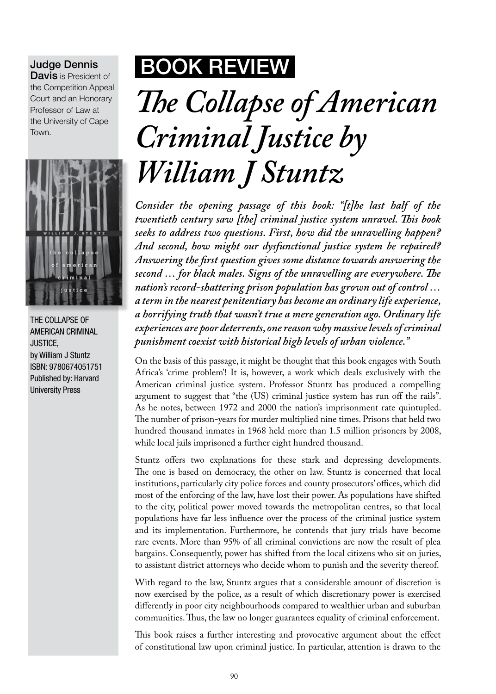## Judge Dennis

Davis is President of the Competition Appeal Court and an Honorary Professor of Law at the University of Cape Town.



THE COLLAPSE OF AMERICAN CRIMINAL JUSTICE, by William J Stuntz ISBN: 9780674051751 Published by: Harvard University Press

## BOOK Review

## *The Collapse of American Criminal Justice by William J Stuntz*

*Consider the opening passage of this book: "[t]he last half of the twentieth century saw [the] criminal justice system unravel. This book seeks to address two questions. First, how did the unravelling happen? And second, how might our dysfunctional justice system be repaired? Answering the first question gives some distance towards answering the second … for black males. Signs of the unravelling are everywhere. The nation's record-shattering prison population has grown out of control … a term in the nearest penitentiary has become an ordinary life experience, a horrifying truth that wasn't true a mere generation ago. Ordinary life experiences are poor deterrents, one reason why massive levels of criminal punishment coexist with historical high levels of urban violence."*

On the basis of this passage, it might be thought that this book engages with South Africa's 'crime problem'! It is, however, a work which deals exclusively with the American criminal justice system. Professor Stuntz has produced a compelling argument to suggest that "the (US) criminal justice system has run off the rails". As he notes, between 1972 and 2000 the nation's imprisonment rate quintupled. The number of prison-years for murder multiplied nine times. Prisons that held two hundred thousand inmates in 1968 held more than 1.5 million prisoners by 2008, while local jails imprisoned a further eight hundred thousand.

Stuntz offers two explanations for these stark and depressing developments. The one is based on democracy, the other on law. Stuntz is concerned that local institutions, particularly city police forces and county prosecutors' offices, which did most of the enforcing of the law, have lost their power. As populations have shifted to the city, political power moved towards the metropolitan centres, so that local populations have far less influence over the process of the criminal justice system and its implementation. Furthermore, he contends that jury trials have become rare events. More than 95% of all criminal convictions are now the result of plea bargains. Consequently, power has shifted from the local citizens who sit on juries, to assistant district attorneys who decide whom to punish and the severity thereof.

With regard to the law, Stuntz argues that a considerable amount of discretion is now exercised by the police, as a result of which discretionary power is exercised differently in poor city neighbourhoods compared to wealthier urban and suburban communities. Thus, the law no longer guarantees equality of criminal enforcement.

This book raises a further interesting and provocative argument about the effect of constitutional law upon criminal justice. In particular, attention is drawn to the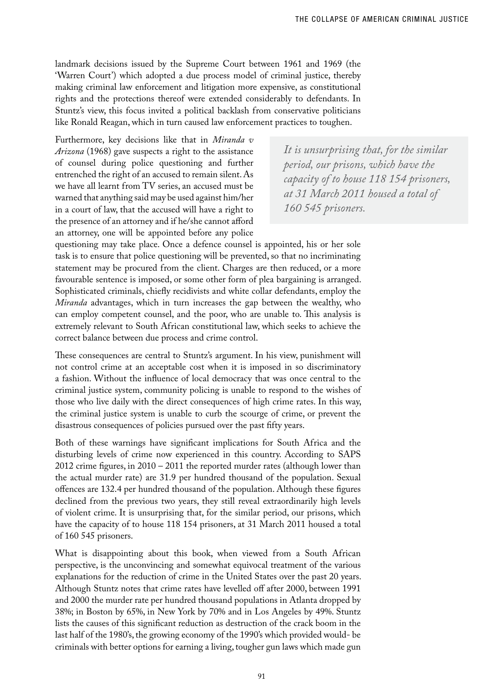landmark decisions issued by the Supreme Court between 1961 and 1969 (the 'Warren Court') which adopted a due process model of criminal justice, thereby making criminal law enforcement and litigation more expensive, as constitutional rights and the protections thereof were extended considerably to defendants. In Stuntz's view, this focus invited a political backlash from conservative politicians like Ronald Reagan, which in turn caused law enforcement practices to toughen.

Furthermore, key decisions like that in *Miranda v Arizona* (1968) gave suspects a right to the assistance of counsel during police questioning and further entrenched the right of an accused to remain silent. As we have all learnt from TV series, an accused must be warned that anything said may be used against him/her in a court of law, that the accused will have a right to the presence of an attorney and if he/she cannot afford an attorney, one will be appointed before any police

*It is unsurprising that, for the similar period, our prisons, which have the capacity of to house 118 154 prisoners, at 31 March 2011 housed a total of 160 545 prisoners.*

questioning may take place. Once a defence counsel is appointed, his or her sole task is to ensure that police questioning will be prevented, so that no incriminating statement may be procured from the client. Charges are then reduced, or a more favourable sentence is imposed, or some other form of plea bargaining is arranged. Sophisticated criminals, chiefly recidivists and white collar defendants, employ the *Miranda* advantages, which in turn increases the gap between the wealthy, who can employ competent counsel, and the poor, who are unable to. This analysis is extremely relevant to South African constitutional law, which seeks to achieve the correct balance between due process and crime control.

These consequences are central to Stuntz's argument. In his view, punishment will not control crime at an acceptable cost when it is imposed in so discriminatory a fashion. Without the influence of local democracy that was once central to the criminal justice system, community policing is unable to respond to the wishes of those who live daily with the direct consequences of high crime rates. In this way, the criminal justice system is unable to curb the scourge of crime, or prevent the disastrous consequences of policies pursued over the past fifty years.

Both of these warnings have significant implications for South Africa and the disturbing levels of crime now experienced in this country. According to SAPS 2012 crime figures, in 2010 – 2011 the reported murder rates (although lower than the actual murder rate) are 31.9 per hundred thousand of the population. Sexual offences are 132.4 per hundred thousand of the population. Although these figures declined from the previous two years, they still reveal extraordinarily high levels of violent crime. It is unsurprising that, for the similar period, our prisons, which have the capacity of to house 118 154 prisoners, at 31 March 2011 housed a total of 160 545 prisoners.

What is disappointing about this book, when viewed from a South African perspective, is the unconvincing and somewhat equivocal treatment of the various explanations for the reduction of crime in the United States over the past 20 years. Although Stuntz notes that crime rates have levelled off after 2000, between 1991 and 2000 the murder rate per hundred thousand populations in Atlanta dropped by 38%; in Boston by 65%, in New York by 70% and in Los Angeles by 49%. Stuntz lists the causes of this significant reduction as destruction of the crack boom in the last half of the 1980's, the growing economy of the 1990's which provided would- be criminals with better options for earning a living, tougher gun laws which made gun